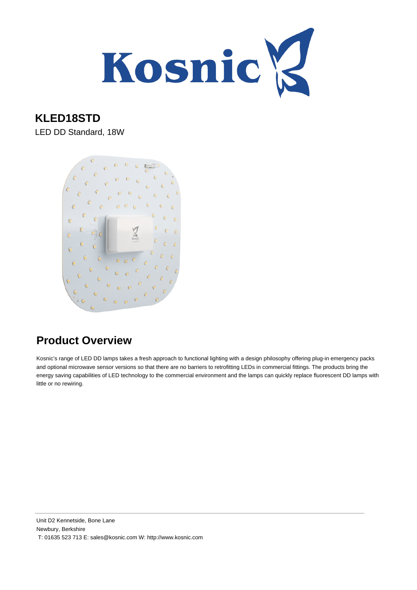

#### **KLED18STD**

LED DD Standard, 18W



### **Product Overview**

Kosnic's range of LED DD lamps takes a fresh approach to functional lighting with a design philosophy offering plug-in emergency packs and optional microwave sensor versions so that there are no barriers to retrofitting LEDs in commercial fittings. The products bring the energy saving capabilities of LED technology to the commercial environment and the lamps can quickly replace fluorescent DD lamps with little or no rewiring.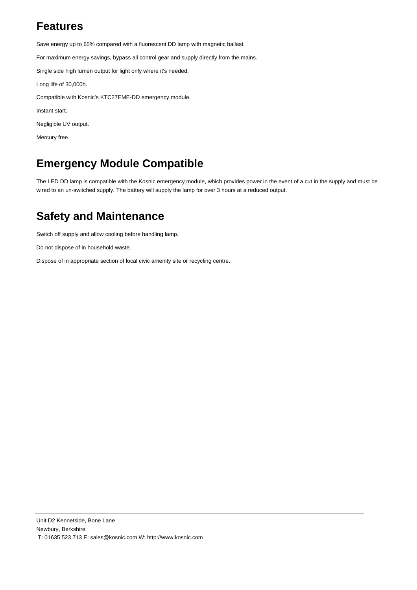#### **Features**

Save energy up to 65% compared with a fluorescent DD lamp with magnetic ballast.

For maximum energy savings, bypass all control gear and supply directly from the mains.

Single side high lumen output for light only where it's needed.

Long life of 30,000h.

Compatible with Kosnic's KTC27EME-DD emergency module.

Instant start.

Negligible UV output.

Mercury free.

#### **Emergency Module Compatible**

The LED DD lamp is compatible with the Kosnic emergency module, which provides power in the event of a cut in the supply and must be wired to an un-switched supply. The battery will supply the lamp for over 3 hours at a reduced output.

#### **Safety and Maintenance**

Switch off supply and allow cooling before handling lamp.

Do not dispose of in household waste.

Dispose of in appropriate section of local civic amenity site or recycling centre.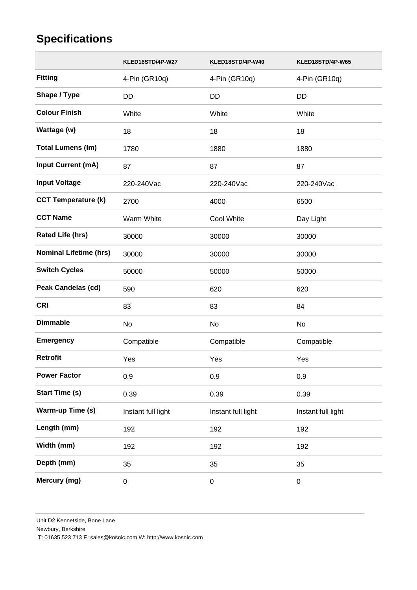## **Specifications**

|                               | KLED18STD/4P-W27   | KLED18STD/4P-W40   | KLED18STD/4P-W65   |
|-------------------------------|--------------------|--------------------|--------------------|
| <b>Fitting</b>                | 4-Pin (GR10q)      | 4-Pin (GR10q)      | 4-Pin (GR10q)      |
| Shape / Type                  | <b>DD</b>          | DD                 | <b>DD</b>          |
| <b>Colour Finish</b>          | White              | White              | White              |
| Wattage (w)                   | 18                 | 18                 | 18                 |
| <b>Total Lumens (Im)</b>      | 1780               | 1880               | 1880               |
| Input Current (mA)            | 87                 | 87                 | 87                 |
| <b>Input Voltage</b>          | 220-240Vac         | 220-240Vac         | 220-240Vac         |
| <b>CCT Temperature (k)</b>    | 2700               | 4000               | 6500               |
| <b>CCT Name</b>               | Warm White         | Cool White         | Day Light          |
| <b>Rated Life (hrs)</b>       | 30000              | 30000              | 30000              |
| <b>Nominal Lifetime (hrs)</b> | 30000              | 30000              | 30000              |
| <b>Switch Cycles</b>          | 50000              | 50000              | 50000              |
| <b>Peak Candelas (cd)</b>     | 590                | 620                | 620                |
| <b>CRI</b>                    | 83                 | 83                 | 84                 |
| <b>Dimmable</b>               | No                 | No                 | No                 |
| <b>Emergency</b>              | Compatible         | Compatible         | Compatible         |
| <b>Retrofit</b>               | Yes                | Yes                | Yes                |
| <b>Power Factor</b>           | 0.9                | 0.9                | 0.9                |
| <b>Start Time (s)</b>         | 0.39               | 0.39               | 0.39               |
| Warm-up Time (s)              | Instant full light | Instant full light | Instant full light |
| Length (mm)                   | 192                | 192                | 192                |
| Width (mm)                    | 192                | 192                | 192                |
| Depth (mm)                    | 35                 | 35                 | 35                 |
| Mercury (mg)                  | $\boldsymbol{0}$   | 0                  | $\pmb{0}$          |

Newbury, Berkshire

T: 01635 523 713 E: sales@kosnic.com W: http://www.kosnic.com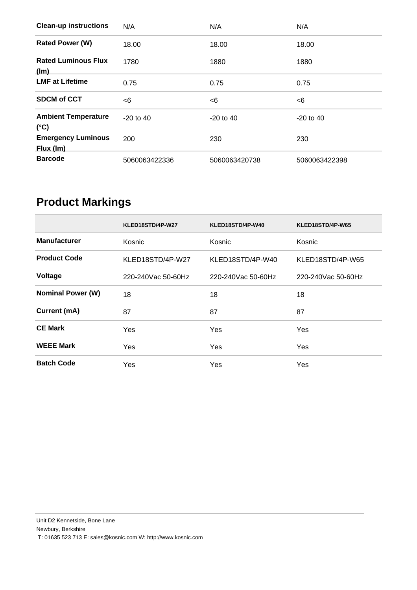| <b>Clean-up instructions</b>                | N/A           | N/A           | N/A           |
|---------------------------------------------|---------------|---------------|---------------|
| <b>Rated Power (W)</b>                      | 18.00         | 18.00         | 18.00         |
| <b>Rated Luminous Flux</b><br>(lm)          | 1780          | 1880          | 1880          |
| <b>LMF at Lifetime</b>                      | 0.75          | 0.75          | 0.75          |
| <b>SDCM of CCT</b>                          | <6            | $<$ 6         | $<$ 6         |
| <b>Ambient Temperature</b><br>$(^{\circ}C)$ | $-20$ to 40   | $-20$ to 40   | $-20$ to 40   |
| <b>Emergency Luminous</b><br>Flux (Im)      | 200           | 230           | 230           |
| <b>Barcode</b>                              | 5060063422336 | 5060063420738 | 5060063422398 |

# **Product Markings**

|                          | KLED18STD/4P-W27     | KLED18STD/4P-W40     | KLED18STD/4P-W65     |
|--------------------------|----------------------|----------------------|----------------------|
| <b>Manufacturer</b>      | Kosnic               | Kosnic               | Kosnic               |
| <b>Product Code</b>      | KLED18STD/4P-W27     | KLED18STD/4P-W40     | KLED18STD/4P-W65     |
| Voltage                  | 220-240 Vac 50-60 Hz | 220-240 Vac 50-60 Hz | 220-240 Vac 50-60 Hz |
| <b>Nominal Power (W)</b> | 18                   | 18                   | 18                   |
| Current (mA)             | 87                   | 87                   | 87                   |
| <b>CE Mark</b>           | <b>Yes</b>           | Yes                  | Yes                  |
| <b>WEEE Mark</b>         | <b>Yes</b>           | Yes                  | Yes                  |
| <b>Batch Code</b>        | Yes                  | Yes                  | Yes                  |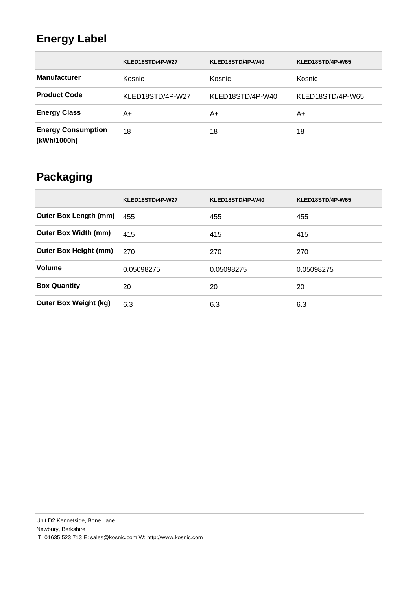## **Energy Label**

|                                          | KLED18STD/4P-W27 | KLED18STD/4P-W40 | KLED18STD/4P-W65 |
|------------------------------------------|------------------|------------------|------------------|
| <b>Manufacturer</b>                      | Kosnic           | Kosnic           | Kosnic           |
| <b>Product Code</b>                      | KLED18STD/4P-W27 | KLED18STD/4P-W40 | KLED18STD/4P-W65 |
| <b>Energy Class</b>                      | A+               | A+               | A+               |
| <b>Energy Consumption</b><br>(kWh/1000h) | 18               | 18               | 18               |

## **Packaging**

|                              | KLED18STD/4P-W27 | KLED18STD/4P-W40 | KLED18STD/4P-W65 |
|------------------------------|------------------|------------------|------------------|
| <b>Outer Box Length (mm)</b> | 455              | 455              | 455              |
| <b>Outer Box Width (mm)</b>  | 415              | 415              | 415              |
| <b>Outer Box Height (mm)</b> | 270              | 270              | 270              |
| Volume                       | 0.05098275       | 0.05098275       | 0.05098275       |
| <b>Box Quantity</b>          | 20               | 20               | 20               |
| <b>Outer Box Weight (kg)</b> | 6.3              | 6.3              | 6.3              |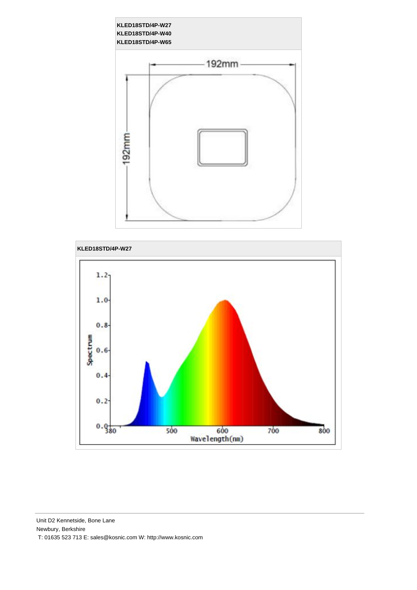